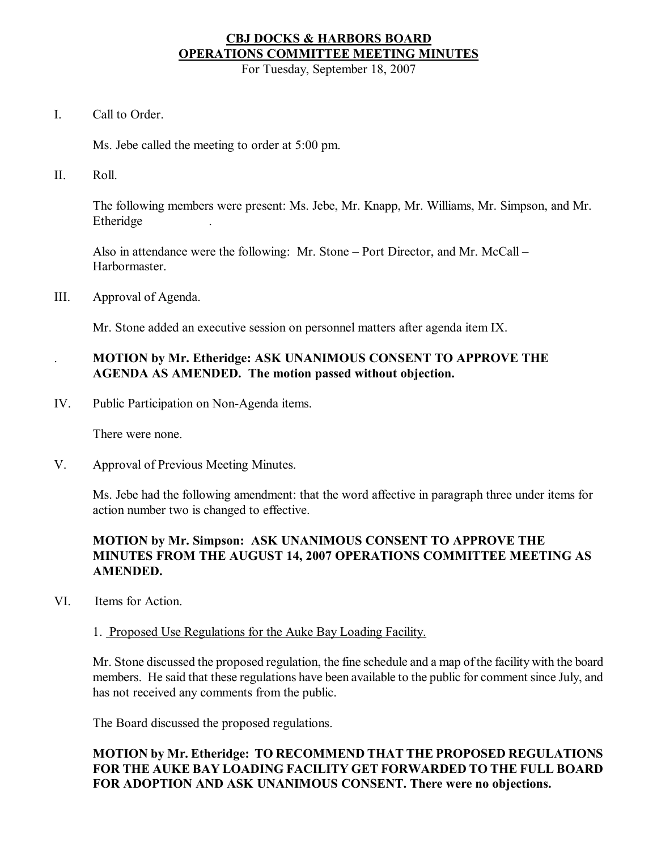# **CBJ DOCKS & HARBORS BOARD OPERATIONS COMMITTEE MEETING MINUTES**

For Tuesday, September 18, 2007

I. Call to Order.

Ms. Jebe called the meeting to order at 5:00 pm.

II. Roll.

The following members were present: Ms. Jebe, Mr. Knapp, Mr. Williams, Mr. Simpson, and Mr. Etheridge .

Also in attendance were the following: Mr. Stone – Port Director, and Mr. McCall – Harbormaster.

III. Approval of Agenda.

Mr. Stone added an executive session on personnel matters after agenda item IX.

# . **MOTION by Mr. Etheridge: ASK UNANIMOUS CONSENT TO APPROVE THE AGENDA AS AMENDED. The motion passed without objection.**

IV. Public Participation on Non-Agenda items.

There were none.

V. Approval of Previous Meeting Minutes.

Ms. Jebe had the following amendment: that the word affective in paragraph three under items for action number two is changed to effective.

# **MOTION by Mr. Simpson: ASK UNANIMOUS CONSENT TO APPROVE THE MINUTES FROM THE AUGUST 14, 2007 OPERATIONS COMMITTEE MEETING AS AMENDED.**

VI. Items for Action.

## 1. Proposed Use Regulations for the Auke Bay Loading Facility.

Mr. Stone discussed the proposed regulation, the fine schedule and a map of the facility with the board members. He said that these regulations have been available to the public for comment since July, and has not received any comments from the public.

The Board discussed the proposed regulations.

# **MOTION by Mr. Etheridge: TO RECOMMEND THAT THE PROPOSED REGULATIONS FOR THE AUKE BAY LOADING FACILITY GET FORWARDED TO THE FULL BOARD FOR ADOPTION AND ASK UNANIMOUS CONSENT. There were no objections.**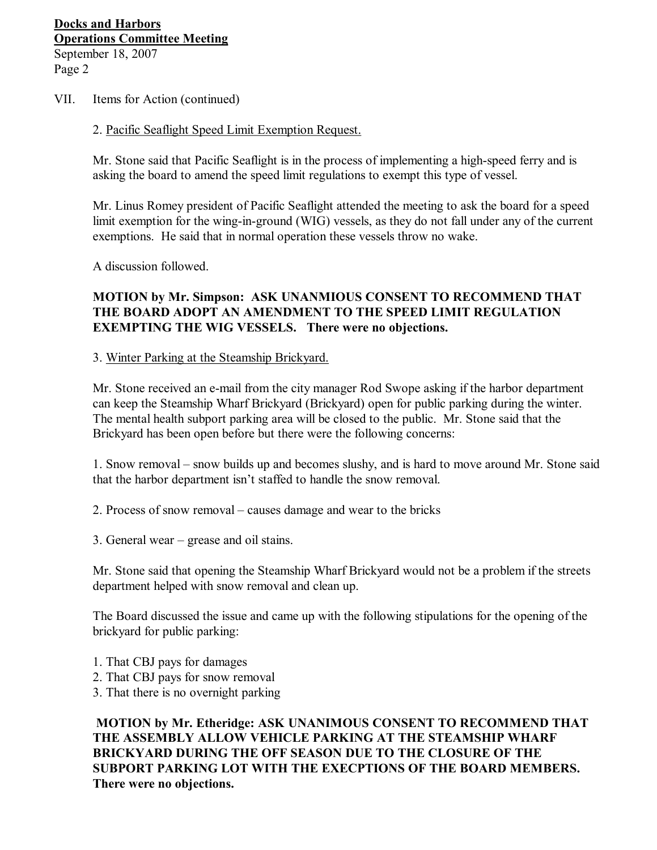#### VII. Items for Action (continued)

#### 2. Pacific Seaflight Speed Limit Exemption Request.

Mr. Stone said that Pacific Seaflight is in the process of implementing a high-speed ferry and is asking the board to amend the speed limit regulations to exempt this type of vessel.

Mr. Linus Romey president of Pacific Seaflight attended the meeting to ask the board for a speed limit exemption for the wing-in-ground (WIG) vessels, as they do not fall under any of the current exemptions. He said that in normal operation these vessels throw no wake.

A discussion followed.

## **MOTION by Mr. Simpson: ASK UNANMIOUS CONSENT TO RECOMMEND THAT THE BOARD ADOPT AN AMENDMENT TO THE SPEED LIMIT REGULATION EXEMPTING THE WIG VESSELS. There were no objections.**

3. Winter Parking at the Steamship Brickyard.

Mr. Stone received an e-mail from the city manager Rod Swope asking if the harbor department can keep the Steamship Wharf Brickyard (Brickyard) open for public parking during the winter. The mental health subport parking area will be closed to the public. Mr. Stone said that the Brickyard has been open before but there were the following concerns:

1. Snow removal – snow builds up and becomes slushy, and is hard to move around Mr. Stone said that the harbor department isn't staffed to handle the snow removal.

- 2. Process of snow removal causes damage and wear to the bricks
- 3. General wear grease and oil stains.

Mr. Stone said that opening the Steamship Wharf Brickyard would not be a problem if the streets department helped with snow removal and clean up.

The Board discussed the issue and came up with the following stipulations for the opening of the brickyard for public parking:

- 1. That CBJ pays for damages
- 2. That CBJ pays for snow removal
- 3. That there is no overnight parking

**MOTION by Mr. Etheridge: ASK UNANIMOUS CONSENT TO RECOMMEND THAT THE ASSEMBLY ALLOW VEHICLE PARKING AT THE STEAMSHIP WHARF BRICKYARD DURING THE OFF SEASON DUE TO THE CLOSURE OF THE SUBPORT PARKING LOT WITH THE EXECPTIONS OF THE BOARD MEMBERS. There were no objections.**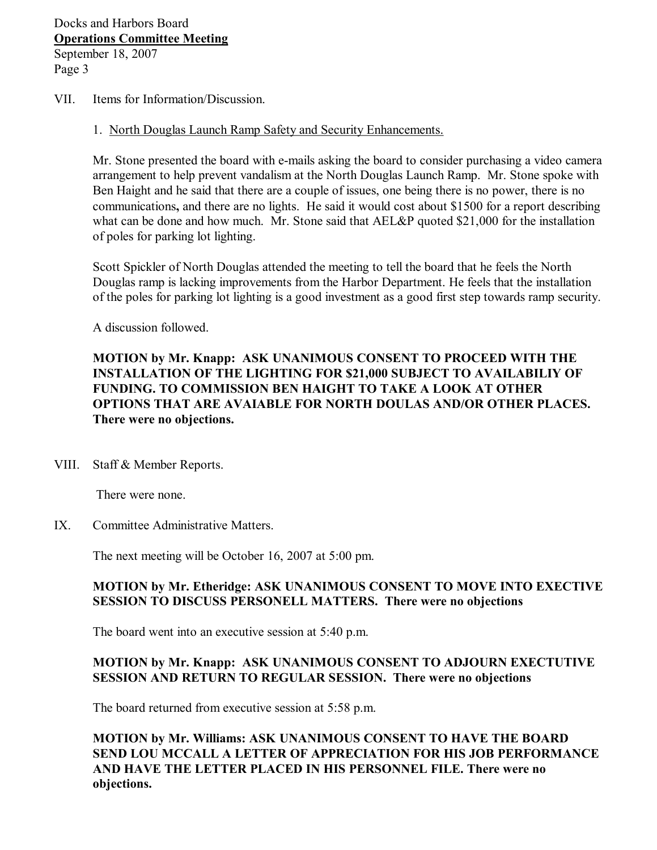- VII. Items for Information/Discussion.
	- 1. North Douglas Launch Ramp Safety and Security Enhancements.

Mr. Stone presented the board with e-mails asking the board to consider purchasing a video camera arrangement to help prevent vandalism at the North Douglas Launch Ramp. Mr. Stone spoke with Ben Haight and he said that there are a couple of issues, one being there is no power, there is no communications**,** and there are no lights. He said it would cost about \$1500 for a report describing what can be done and how much. Mr. Stone said that AEL&P quoted \$21,000 for the installation of poles for parking lot lighting.

Scott Spickler of North Douglas attended the meeting to tell the board that he feels the North Douglas ramp is lacking improvements from the Harbor Department. He feels that the installation of the poles for parking lot lighting is a good investment as a good first step towards ramp security.

A discussion followed.

**MOTION by Mr. Knapp: ASK UNANIMOUS CONSENT TO PROCEED WITH THE INSTALLATION OF THE LIGHTING FOR \$21,000 SUBJECT TO AVAILABILIY OF FUNDING. TO COMMISSION BEN HAIGHT TO TAKE A LOOK AT OTHER OPTIONS THAT ARE AVAIABLE FOR NORTH DOULAS AND/OR OTHER PLACES. There were no objections.**

VIII. Staff & Member Reports.

There were none.

IX. Committee Administrative Matters.

The next meeting will be October 16, 2007 at 5:00 pm.

## **MOTION by Mr. Etheridge: ASK UNANIMOUS CONSENT TO MOVE INTO EXECTIVE SESSION TO DISCUSS PERSONELL MATTERS. There were no objections**

The board went into an executive session at 5:40 p.m.

## **MOTION by Mr. Knapp: ASK UNANIMOUS CONSENT TO ADJOURN EXECTUTIVE SESSION AND RETURN TO REGULAR SESSION. There were no objections**

The board returned from executive session at 5:58 p.m.

**MOTION by Mr. Williams: ASK UNANIMOUS CONSENT TO HAVE THE BOARD SEND LOU MCCALL A LETTER OF APPRECIATION FOR HIS JOB PERFORMANCE AND HAVE THE LETTER PLACED IN HIS PERSONNEL FILE. There were no objections.**